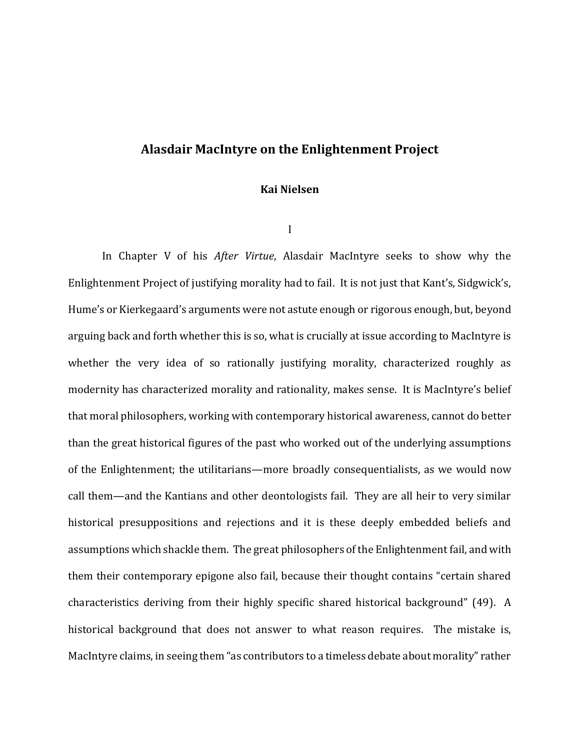# **Alasdair MacIntyre on the Enlightenment Project**

# **Kai Nielsen**

I

In Chapter V of his *After Virtue*, Alasdair MacIntyre seeks to show why the Enlightenment Project of justifying morality had to fail. It is not just that Kant's, Sidgwick's, Hume's or Kierkegaard's arguments were not astute enough or rigorous enough, but, beyond arguing back and forth whether this is so, what is crucially at issue according to MacIntyre is whether the very idea of so rationally justifying morality, characterized roughly as modernity has characterized morality and rationality, makes sense. It is MacIntyre's belief that moral philosophers, working with contemporary historical awareness, cannot do better than the great historical figures of the past who worked out of the underlying assumptions of the Enlightenment; the utilitarians—more broadly consequentialists, as we would now call them—and the Kantians and other deontologists fail. They are all heir to very similar historical presuppositions and rejections and it is these deeply embedded beliefs and assumptions which shackle them. The great philosophers of the Enlightenment fail, and with them their contemporary epigone also fail, because their thought contains "certain shared characteristics deriving from their highly specific shared historical background" (49). A historical background that does not answer to what reason requires. The mistake is, MacIntyre claims, in seeing them "as contributors to a timeless debate about morality" rather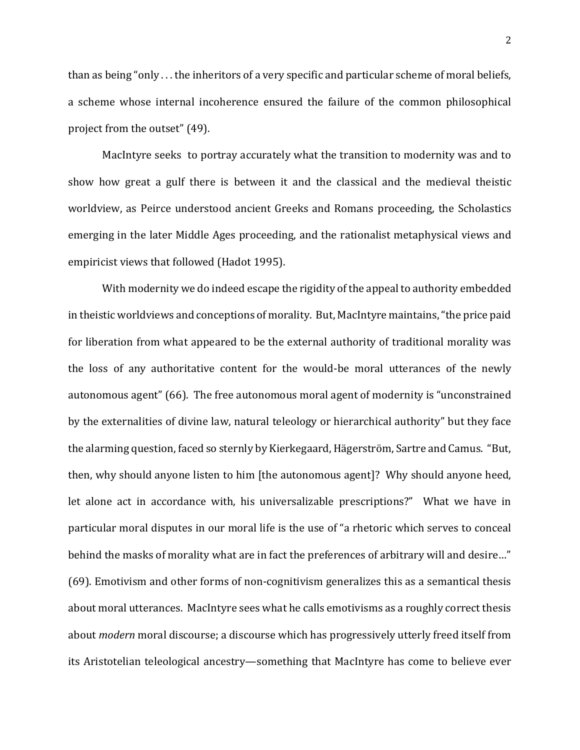than as being "only . . . the inheritors of a very specific and particular scheme of moral beliefs, a scheme whose internal incoherence ensured the failure of the common philosophical project from the outset" (49).

MacIntyre seeks to portray accurately what the transition to modernity was and to show how great a gulf there is between it and the classical and the medieval theistic worldview, as Peirce understood ancient Greeks and Romans proceeding, the Scholastics emerging in the later Middle Ages proceeding, and the rationalist metaphysical views and empiricist views that followed (Hadot 1995).

With modernity we do indeed escape the rigidity of the appeal to authority embedded in theistic worldviews and conceptions of morality. But, MacIntyre maintains, "the price paid for liberation from what appeared to be the external authority of traditional morality was the loss of any authoritative content for the would-be moral utterances of the newly autonomous agent" (66). The free autonomous moral agent of modernity is "unconstrained by the externalities of divine law, natural teleology or hierarchical authority" but they face the alarming question, faced so sternly by Kierkegaard, Hägerström, Sartre and Camus. "But, then, why should anyone listen to him [the autonomous agent]? Why should anyone heed, let alone act in accordance with, his universalizable prescriptions?" What we have in particular moral disputes in our moral life is the use of "a rhetoric which serves to conceal behind the masks of morality what are in fact the preferences of arbitrary will and desire…" (69). Emotivism and other forms of non-cognitivism generalizes this as a semantical thesis about moral utterances. MacIntyre sees what he calls emotivisms as a roughly correct thesis about *modern* moral discourse; a discourse which has progressively utterly freed itself from its Aristotelian teleological ancestry—something that MacIntyre has come to believe ever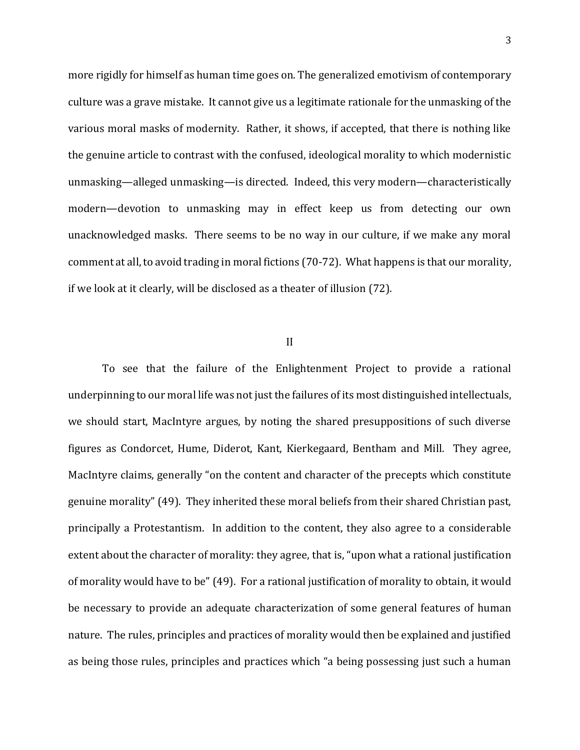more rigidly for himself as human time goes on. The generalized emotivism of contemporary culture was a grave mistake. It cannot give us a legitimate rationale for the unmasking of the various moral masks of modernity. Rather, it shows, if accepted, that there is nothing like the genuine article to contrast with the confused, ideological morality to which modernistic unmasking—alleged unmasking—is directed. Indeed, this very modern—characteristically modern—devotion to unmasking may in effect keep us from detecting our own unacknowledged masks. There seems to be no way in our culture, if we make any moral comment at all, to avoid trading in moral fictions (70-72). What happens is that our morality, if we look at it clearly, will be disclosed as a theater of illusion (72).

## II

To see that the failure of the Enlightenment Project to provide a rational underpinning to our moral life was not just the failures of its most distinguished intellectuals, we should start, MacIntyre argues, by noting the shared presuppositions of such diverse figures as Condorcet, Hume, Diderot, Kant, Kierkegaard, Bentham and Mill. They agree, MacIntyre claims, generally "on the content and character of the precepts which constitute genuine morality" (49). They inherited these moral beliefs from their shared Christian past, principally a Protestantism. In addition to the content, they also agree to a considerable extent about the character of morality: they agree, that is, "upon what a rational justification of morality would have to be" (49). For a rational justification of morality to obtain, it would be necessary to provide an adequate characterization of some general features of human nature. The rules, principles and practices of morality would then be explained and justified as being those rules, principles and practices which "a being possessing just such a human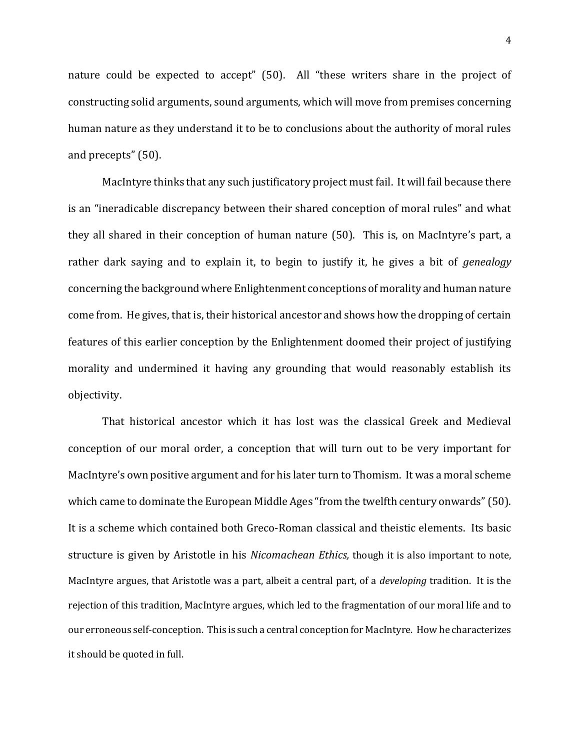nature could be expected to accept" (50). All "these writers share in the project of constructing solid arguments, sound arguments, which will move from premises concerning human nature as they understand it to be to conclusions about the authority of moral rules and precepts" (50).

MacIntyre thinks that any such justificatory project must fail. It will fail because there is an "ineradicable discrepancy between their shared conception of moral rules" and what they all shared in their conception of human nature (50). This is, on MacIntyre's part, a rather dark saying and to explain it, to begin to justify it, he gives a bit of *genealogy* concerning the background where Enlightenment conceptions of morality and human nature come from. He gives, that is, their historical ancestor and shows how the dropping of certain features of this earlier conception by the Enlightenment doomed their project of justifying morality and undermined it having any grounding that would reasonably establish its objectivity.

That historical ancestor which it has lost was the classical Greek and Medieval conception of our moral order, a conception that will turn out to be very important for MacIntyre's own positive argument and for his later turn to Thomism. It was a moral scheme which came to dominate the European Middle Ages "from the twelfth century onwards" (50). It is a scheme which contained both Greco-Roman classical and theistic elements. Its basic structure is given by Aristotle in his *Nicomachean Ethics,* though it is also important to note, MacIntyre argues, that Aristotle was a part, albeit a central part, of a *developing* tradition. It is the rejection of this tradition, MacIntyre argues, which led to the fragmentation of our moral life and to our erroneous self-conception. This is such a central conception for MacIntyre. How he characterizes it should be quoted in full.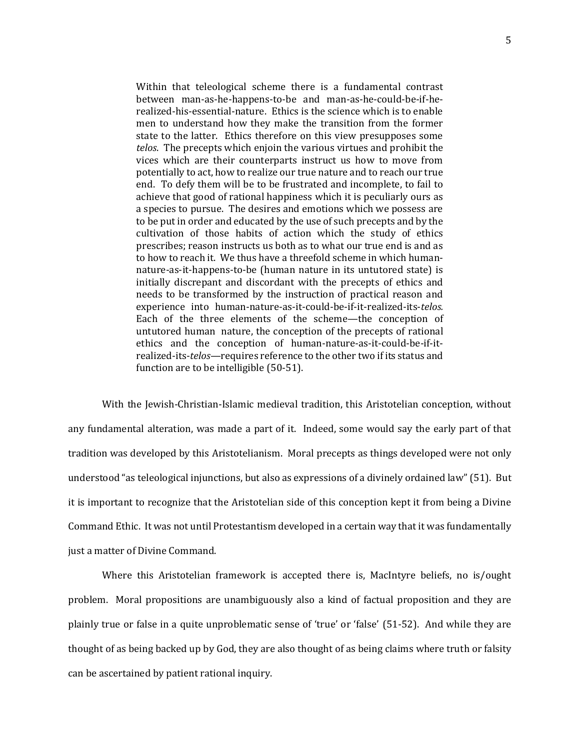Within that teleological scheme there is a fundamental contrast between man-as-he-happens-to-be and man-as-he-could-be-if-herealized-his-essential-nature. Ethics is the science which is to enable men to understand how they make the transition from the former state to the latter. Ethics therefore on this view presupposes some *telos*. The precepts which enjoin the various virtues and prohibit the vices which are their counterparts instruct us how to move from potentially to act, how to realize our true nature and to reach our true end. To defy them will be to be frustrated and incomplete, to fail to achieve that good of rational happiness which it is peculiarly ours as a species to pursue. The desires and emotions which we possess are to be put in order and educated by the use of such precepts and by the cultivation of those habits of action which the study of ethics prescribes; reason instructs us both as to what our true end is and as to how to reach it. We thus have a threefold scheme in which humannature-as-it-happens-to-be (human nature in its untutored state) is initially discrepant and discordant with the precepts of ethics and needs to be transformed by the instruction of practical reason and experience into human-nature-as-it-could-be-if-it-realized-its-*telos.* Each of the three elements of the scheme—the conception of untutored human nature, the conception of the precepts of rational ethics and the conception of human-nature-as-it-could-be-if-itrealized-its-*telos*—requires reference to the other two if its status and function are to be intelligible (50-51).

With the Jewish-Christian-Islamic medieval tradition, this Aristotelian conception, without any fundamental alteration, was made a part of it. Indeed, some would say the early part of that tradition was developed by this Aristotelianism. Moral precepts as things developed were not only understood "as teleological injunctions, but also as expressions of a divinely ordained law" (51). But it is important to recognize that the Aristotelian side of this conception kept it from being a Divine Command Ethic. It was not until Protestantism developed in a certain way that it was fundamentally just a matter of Divine Command.

Where this Aristotelian framework is accepted there is, MacIntyre beliefs, no is/ought problem. Moral propositions are unambiguously also a kind of factual proposition and they are plainly true or false in a quite unproblematic sense of 'true' or 'false' (51-52). And while they are thought of as being backed up by God, they are also thought of as being claims where truth or falsity can be ascertained by patient rational inquiry.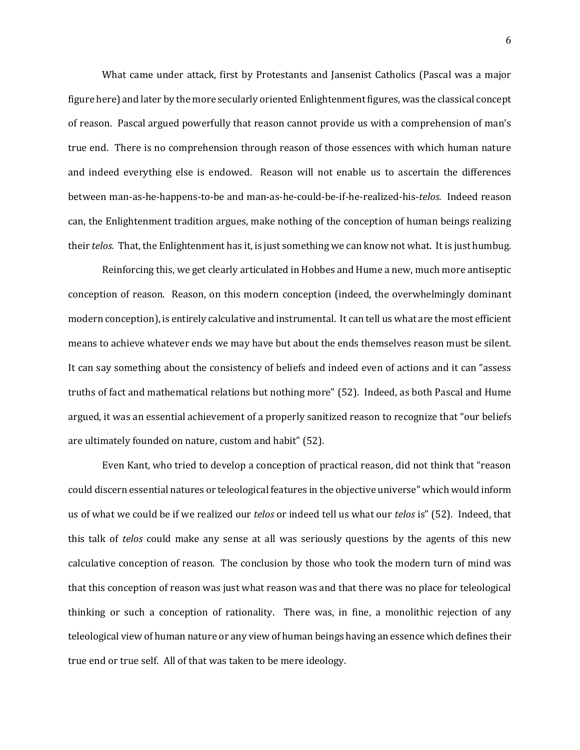What came under attack, first by Protestants and Jansenist Catholics (Pascal was a major figure here) and later by the more secularly oriented Enlightenment figures, was the classical concept of reason. Pascal argued powerfully that reason cannot provide us with a comprehension of man's true end. There is no comprehension through reason of those essences with which human nature and indeed everything else is endowed. Reason will not enable us to ascertain the differences between man-as-he-happens-to-be and man-as-he-could-be-if-he-realized-his-*telos.* Indeed reason can, the Enlightenment tradition argues, make nothing of the conception of human beings realizing their *telos.* That, the Enlightenment has it, is just something we can know not what. It is just humbug.

Reinforcing this, we get clearly articulated in Hobbes and Hume a new, much more antiseptic conception of reason. Reason, on this modern conception (indeed, the overwhelmingly dominant modern conception), is entirely calculative and instrumental. It can tell us what are the most efficient means to achieve whatever ends we may have but about the ends themselves reason must be silent. It can say something about the consistency of beliefs and indeed even of actions and it can "assess truths of fact and mathematical relations but nothing more" (52). Indeed, as both Pascal and Hume argued, it was an essential achievement of a properly sanitized reason to recognize that "our beliefs are ultimately founded on nature, custom and habit" (52).

Even Kant, who tried to develop a conception of practical reason, did not think that "reason could discern essential natures or teleological features in the objective universe" which would inform us of what we could be if we realized our *telos* or indeed tell us what our *telos* is" (52). Indeed, that this talk of *telos* could make any sense at all was seriously questions by the agents of this new calculative conception of reason. The conclusion by those who took the modern turn of mind was that this conception of reason was just what reason was and that there was no place for teleological thinking or such a conception of rationality. There was, in fine, a monolithic rejection of any teleological view of human nature or any view of human beings having an essence which defines their true end or true self. All of that was taken to be mere ideology.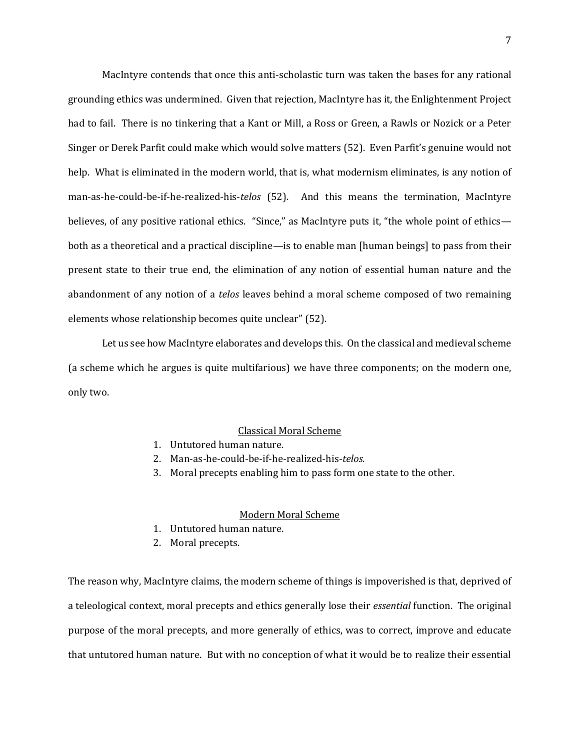MacIntyre contends that once this anti-scholastic turn was taken the bases for any rational grounding ethics was undermined. Given that rejection, MacIntyre has it, the Enlightenment Project had to fail. There is no tinkering that a Kant or Mill, a Ross or Green, a Rawls or Nozick or a Peter Singer or Derek Parfit could make which would solve matters (52). Even Parfit's genuine would not help. What is eliminated in the modern world, that is, what modernism eliminates, is any notion of man-as-he-could-be-if-he-realized-his-*telos* (52). And this means the termination, MacIntyre believes, of any positive rational ethics. "Since," as MacIntyre puts it, "the whole point of ethics both as a theoretical and a practical discipline—is to enable man [human beings] to pass from their present state to their true end, the elimination of any notion of essential human nature and the abandonment of any notion of a *telos* leaves behind a moral scheme composed of two remaining elements whose relationship becomes quite unclear" (52).

Let us see how MacIntyre elaborates and develops this. On the classical and medieval scheme (a scheme which he argues is quite multifarious) we have three components; on the modern one, only two.

#### Classical Moral Scheme

- 1. Untutored human nature.
- 2. Man-as-he-could-be-if-he-realized-his-*telos.*
- 3. Moral precepts enabling him to pass form one state to the other.

### Modern Moral Scheme

- 1. Untutored human nature.
- 2. Moral precepts.

The reason why, MacIntyre claims, the modern scheme of things is impoverished is that, deprived of a teleological context, moral precepts and ethics generally lose their *essential* function. The original purpose of the moral precepts, and more generally of ethics, was to correct, improve and educate that untutored human nature. But with no conception of what it would be to realize their essential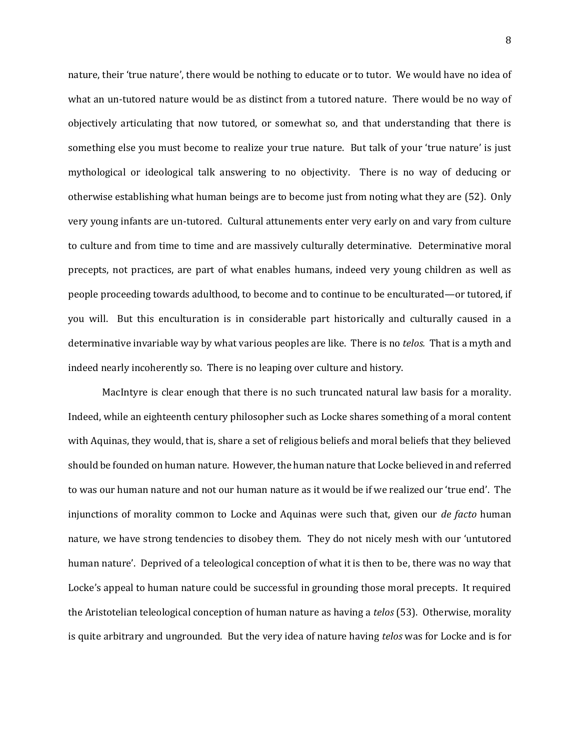nature, their 'true nature', there would be nothing to educate or to tutor. We would have no idea of what an un-tutored nature would be as distinct from a tutored nature. There would be no way of objectively articulating that now tutored, or somewhat so, and that understanding that there is something else you must become to realize your true nature. But talk of your 'true nature' is just mythological or ideological talk answering to no objectivity. There is no way of deducing or otherwise establishing what human beings are to become just from noting what they are (52). Only very young infants are un-tutored. Cultural attunements enter very early on and vary from culture to culture and from time to time and are massively culturally determinative. Determinative moral precepts, not practices, are part of what enables humans, indeed very young children as well as people proceeding towards adulthood, to become and to continue to be enculturated—or tutored, if you will. But this enculturation is in considerable part historically and culturally caused in a determinative invariable way by what various peoples are like. There is no *telos.* That is a myth and indeed nearly incoherently so. There is no leaping over culture and history.

MacIntyre is clear enough that there is no such truncated natural law basis for a morality. Indeed, while an eighteenth century philosopher such as Locke shares something of a moral content with Aquinas, they would, that is, share a set of religious beliefs and moral beliefs that they believed should be founded on human nature. However, the human nature that Locke believed in and referred to was our human nature and not our human nature as it would be if we realized our 'true end'. The injunctions of morality common to Locke and Aquinas were such that, given our *de facto* human nature, we have strong tendencies to disobey them. They do not nicely mesh with our 'untutored human nature'. Deprived of a teleological conception of what it is then to be, there was no way that Locke's appeal to human nature could be successful in grounding those moral precepts. It required the Aristotelian teleological conception of human nature as having a *telos* (53). Otherwise, morality is quite arbitrary and ungrounded. But the very idea of nature having *telos* was for Locke and is for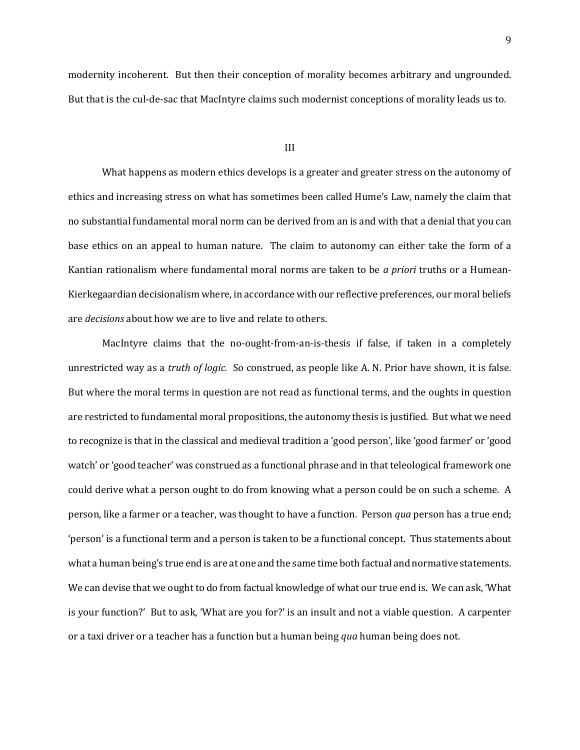modernity incoherent. But then their conception of morality becomes arbitrary and ungrounded. But that is the cul-de-sac that MacIntyre claims such modernist conceptions of morality leads us to.

#### III

What happens as modern ethics develops is a greater and greater stress on the autonomy of ethics and increasing stress on what has sometimes been called Hume's Law, namely the claim that no substantial fundamental moral norm can be derived from an is and with that a denial that you can base ethics on an appeal to human nature. The claim to autonomy can either take the form of a Kantian rationalism where fundamental moral norms are taken to be *a priori* truths or a Humean-Kierkegaardian decisionalism where, in accordance with our reflective preferences, our moral beliefs are *decisions* about how we are to live and relate to others.

MacIntyre claims that the no-ought-from-an-is-thesis if false, if taken in a completely unrestricted way as a *truth of logic.* So construed, as people like A. N. Prior have shown, it is false. But where the moral terms in question are not read as functional terms, and the oughts in question are restricted to fundamental moral propositions, the autonomy thesis is justified. But what we need to recognize is that in the classical and medieval tradition a 'good person', like 'good farmer' or 'good watch' or 'good teacher' was construed as a functional phrase and in that teleological framework one could derive what a person ought to do from knowing what a person could be on such a scheme. A person, like a farmer or a teacher, was thought to have a function. Person *qua* person has a true end; 'person' is a functional term and a person is taken to be a functional concept. Thus statements about what a human being's true end is are at one and the same time both factual and normative statements. We can devise that we ought to do from factual knowledge of what our true end is. We can ask, 'What is your function?' But to ask, 'What are you for?' is an insult and not a viable question. A carpenter or a taxi driver or a teacher has a function but a human being *qua* human being does not.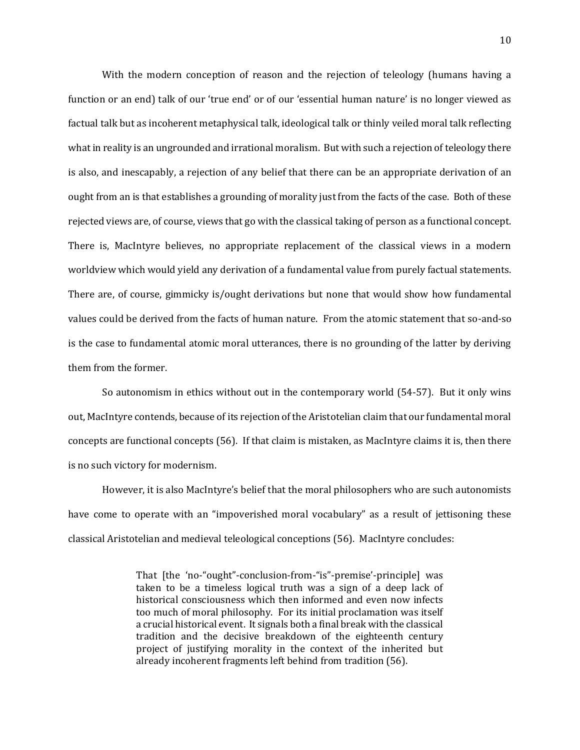With the modern conception of reason and the rejection of teleology (humans having a function or an end) talk of our 'true end' or of our 'essential human nature' is no longer viewed as factual talk but as incoherent metaphysical talk, ideological talk or thinly veiled moral talk reflecting what in reality is an ungrounded and irrational moralism. But with such a rejection of teleology there is also, and inescapably, a rejection of any belief that there can be an appropriate derivation of an ought from an is that establishes a grounding of morality just from the facts of the case. Both of these rejected views are, of course, views that go with the classical taking of person as a functional concept. There is, MacIntyre believes, no appropriate replacement of the classical views in a modern worldview which would yield any derivation of a fundamental value from purely factual statements. There are, of course, gimmicky is/ought derivations but none that would show how fundamental values could be derived from the facts of human nature. From the atomic statement that so-and-so is the case to fundamental atomic moral utterances, there is no grounding of the latter by deriving them from the former.

So autonomism in ethics without out in the contemporary world (54-57). But it only wins out, MacIntyre contends, because of its rejection of the Aristotelian claim that our fundamental moral concepts are functional concepts (56). If that claim is mistaken, as MacIntyre claims it is, then there is no such victory for modernism.

However, it is also MacIntyre's belief that the moral philosophers who are such autonomists have come to operate with an "impoverished moral vocabulary" as a result of jettisoning these classical Aristotelian and medieval teleological conceptions (56). MacIntyre concludes:

> That [the 'no-"ought"-conclusion-from-"is"-premise'-principle] was taken to be a timeless logical truth was a sign of a deep lack of historical consciousness which then informed and even now infects too much of moral philosophy. For its initial proclamation was itself a crucial historical event. It signals both a final break with the classical tradition and the decisive breakdown of the eighteenth century project of justifying morality in the context of the inherited but already incoherent fragments left behind from tradition (56).